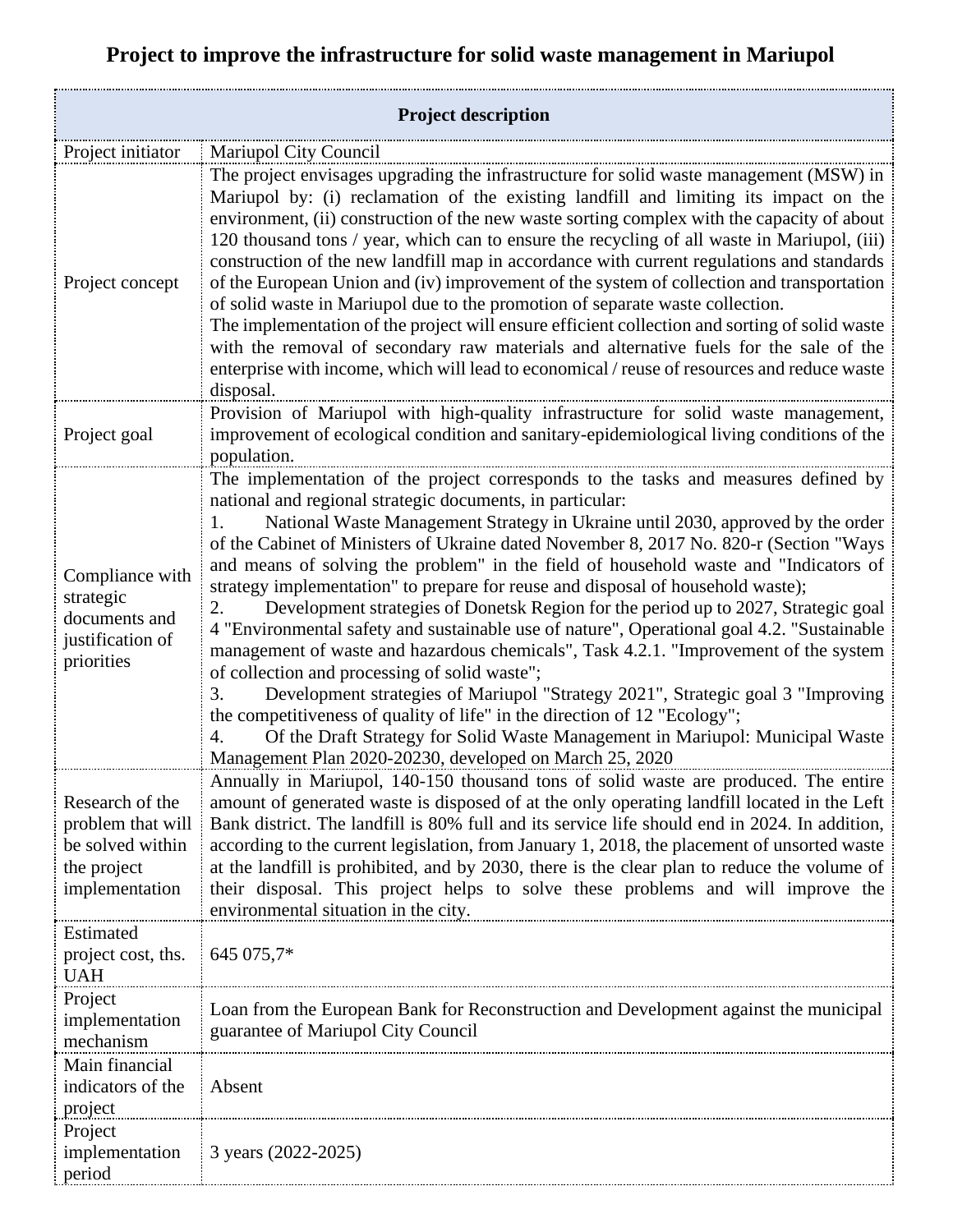## **Project to improve the infrastructure for solid waste management in Mariupol**

| <b>Project description</b>                                                                |                                                                                                                                                                                                                                                                                                                                                                                                                                                                                                                                                                                                                                                                                                                                                                                                                                                                                                                                                                                                                                                                                                                                                                                        |  |
|-------------------------------------------------------------------------------------------|----------------------------------------------------------------------------------------------------------------------------------------------------------------------------------------------------------------------------------------------------------------------------------------------------------------------------------------------------------------------------------------------------------------------------------------------------------------------------------------------------------------------------------------------------------------------------------------------------------------------------------------------------------------------------------------------------------------------------------------------------------------------------------------------------------------------------------------------------------------------------------------------------------------------------------------------------------------------------------------------------------------------------------------------------------------------------------------------------------------------------------------------------------------------------------------|--|
| Project initiator                                                                         | Mariupol City Council                                                                                                                                                                                                                                                                                                                                                                                                                                                                                                                                                                                                                                                                                                                                                                                                                                                                                                                                                                                                                                                                                                                                                                  |  |
| Project concept                                                                           | The project envisages upgrading the infrastructure for solid waste management (MSW) in<br>Mariupol by: (i) reclamation of the existing landfill and limiting its impact on the<br>environment, (ii) construction of the new waste sorting complex with the capacity of about<br>120 thousand tons / year, which can to ensure the recycling of all waste in Mariupol, (iii)<br>construction of the new landfill map in accordance with current regulations and standards<br>of the European Union and (iv) improvement of the system of collection and transportation<br>of solid waste in Mariupol due to the promotion of separate waste collection.<br>The implementation of the project will ensure efficient collection and sorting of solid waste<br>with the removal of secondary raw materials and alternative fuels for the sale of the<br>enterprise with income, which will lead to economical / reuse of resources and reduce waste<br>disposal.                                                                                                                                                                                                                           |  |
| Project goal                                                                              | Provision of Mariupol with high-quality infrastructure for solid waste management,<br>improvement of ecological condition and sanitary-epidemiological living conditions of the<br>population.                                                                                                                                                                                                                                                                                                                                                                                                                                                                                                                                                                                                                                                                                                                                                                                                                                                                                                                                                                                         |  |
| Compliance with<br>strategic<br>documents and<br>justification of<br>priorities           | The implementation of the project corresponds to the tasks and measures defined by<br>national and regional strategic documents, in particular:<br>National Waste Management Strategy in Ukraine until 2030, approved by the order<br>1.<br>of the Cabinet of Ministers of Ukraine dated November 8, 2017 No. 820-r (Section "Ways<br>and means of solving the problem" in the field of household waste and "Indicators of<br>strategy implementation" to prepare for reuse and disposal of household waste);<br>Development strategies of Donetsk Region for the period up to 2027, Strategic goal<br>2.<br>4 "Environmental safety and sustainable use of nature", Operational goal 4.2. "Sustainable<br>management of waste and hazardous chemicals", Task 4.2.1. "Improvement of the system<br>of collection and processing of solid waste";<br>Development strategies of Mariupol "Strategy 2021", Strategic goal 3 "Improving<br>3.<br>the competitiveness of quality of life" in the direction of 12 "Ecology";<br>Of the Draft Strategy for Solid Waste Management in Mariupol: Municipal Waste<br>$\overline{4}$ .<br>Management Plan 2020-20230, developed on March 25, 2020 |  |
| Research of the<br>problem that will<br>be solved within<br>the project<br>implementation | Annually in Mariupol, 140-150 thousand tons of solid waste are produced. The entire<br>amount of generated waste is disposed of at the only operating landfill located in the Left<br>Bank district. The landfill is 80% full and its service life should end in 2024. In addition,<br>according to the current legislation, from January 1, 2018, the placement of unsorted waste<br>at the landfill is prohibited, and by 2030, there is the clear plan to reduce the volume of<br>their disposal. This project helps to solve these problems and will improve the<br>environmental situation in the city.                                                                                                                                                                                                                                                                                                                                                                                                                                                                                                                                                                           |  |
| Estimated<br>project cost, ths.<br><b>UAH</b>                                             | 645 075,7*                                                                                                                                                                                                                                                                                                                                                                                                                                                                                                                                                                                                                                                                                                                                                                                                                                                                                                                                                                                                                                                                                                                                                                             |  |
| Project<br>implementation<br>mechanism                                                    | Loan from the European Bank for Reconstruction and Development against the municipal<br>guarantee of Mariupol City Council                                                                                                                                                                                                                                                                                                                                                                                                                                                                                                                                                                                                                                                                                                                                                                                                                                                                                                                                                                                                                                                             |  |
| Main financial<br>indicators of the<br>project                                            | Absent                                                                                                                                                                                                                                                                                                                                                                                                                                                                                                                                                                                                                                                                                                                                                                                                                                                                                                                                                                                                                                                                                                                                                                                 |  |
| Project<br>implementation<br>period                                                       | 3 years (2022-2025)                                                                                                                                                                                                                                                                                                                                                                                                                                                                                                                                                                                                                                                                                                                                                                                                                                                                                                                                                                                                                                                                                                                                                                    |  |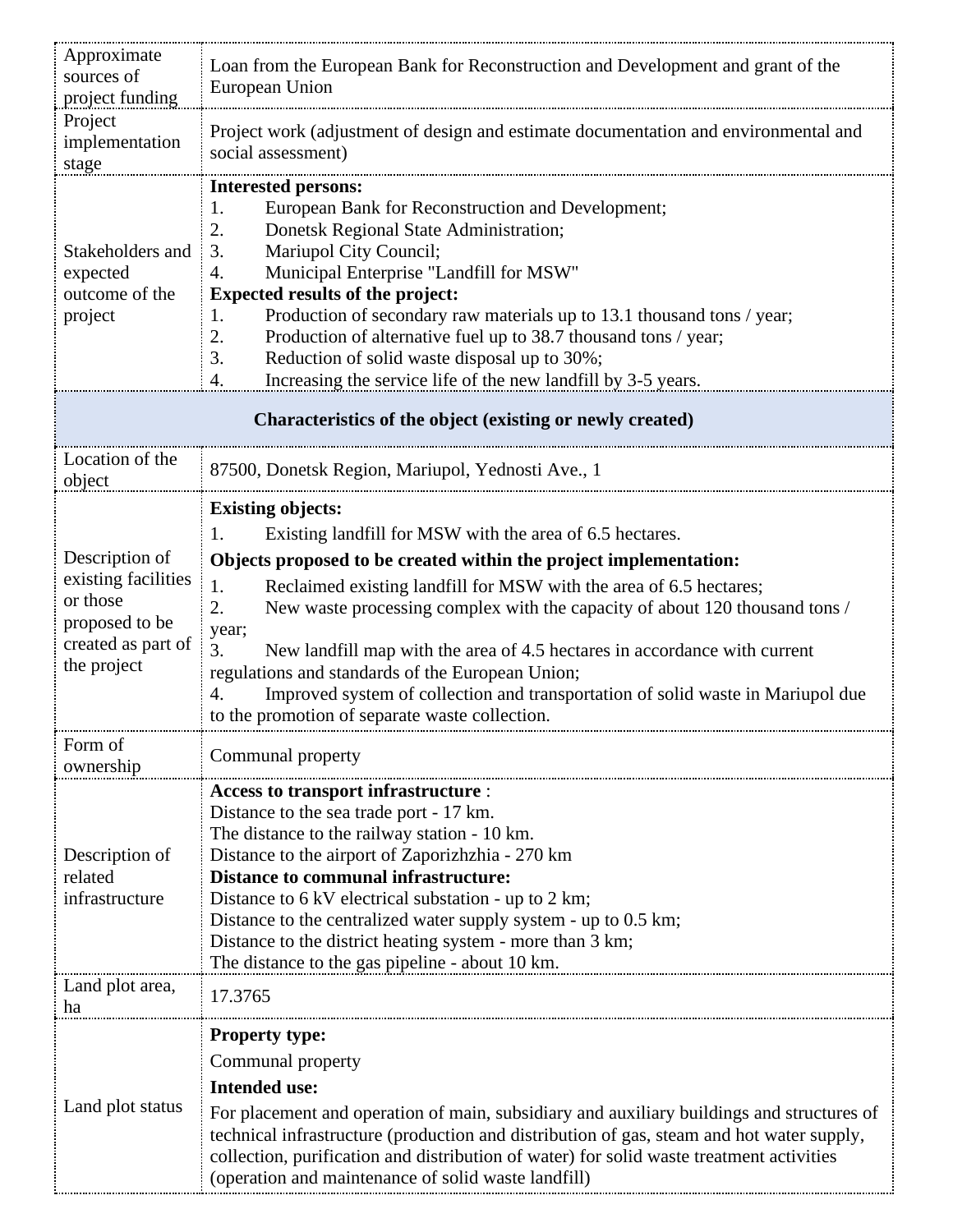| Approximate<br>sources of<br>project funding                                                             | Loan from the European Bank for Reconstruction and Development and grant of the<br>European Union                                                                                                                                                                                                                                                                                                                                                                                                                                                                                                                           |  |
|----------------------------------------------------------------------------------------------------------|-----------------------------------------------------------------------------------------------------------------------------------------------------------------------------------------------------------------------------------------------------------------------------------------------------------------------------------------------------------------------------------------------------------------------------------------------------------------------------------------------------------------------------------------------------------------------------------------------------------------------------|--|
| Project<br>implementation<br>stage                                                                       | Project work (adjustment of design and estimate documentation and environmental and<br>social assessment)                                                                                                                                                                                                                                                                                                                                                                                                                                                                                                                   |  |
| Stakeholders and<br>expected<br>outcome of the<br>project                                                | <b>Interested persons:</b><br>European Bank for Reconstruction and Development;<br>1.<br>2.<br>Donetsk Regional State Administration;<br>Mariupol City Council;<br>3.<br>Municipal Enterprise "Landfill for MSW"<br>4.<br><b>Expected results of the project:</b><br>Production of secondary raw materials up to 13.1 thousand tons / year;<br>1.<br>Production of alternative fuel up to 38.7 thousand tons / year;<br>2.<br>3.<br>Reduction of solid waste disposal up to 30%;<br>Increasing the service life of the new landfill by 3-5 years.<br>4.                                                                     |  |
| Characteristics of the object (existing or newly created)                                                |                                                                                                                                                                                                                                                                                                                                                                                                                                                                                                                                                                                                                             |  |
| Location of the<br>object                                                                                | 87500, Donetsk Region, Mariupol, Yednosti Ave., 1                                                                                                                                                                                                                                                                                                                                                                                                                                                                                                                                                                           |  |
| Description of<br>existing facilities<br>or those<br>proposed to be<br>created as part of<br>the project | <b>Existing objects:</b><br>1.<br>Existing landfill for MSW with the area of 6.5 hectares.<br>Objects proposed to be created within the project implementation:<br>Reclaimed existing landfill for MSW with the area of 6.5 hectares;<br>1.<br>New waste processing complex with the capacity of about 120 thousand tons /<br>2.<br>year;<br>3.<br>New landfill map with the area of 4.5 hectares in accordance with current<br>regulations and standards of the European Union;<br>Improved system of collection and transportation of solid waste in Mariupol due<br>4.<br>to the promotion of separate waste collection. |  |
| Form of<br>ownership                                                                                     | Communal property                                                                                                                                                                                                                                                                                                                                                                                                                                                                                                                                                                                                           |  |
| Description of<br>related<br>infrastructure                                                              | Access to transport infrastructure :<br>Distance to the sea trade port - 17 km.<br>The distance to the railway station - 10 km.<br>Distance to the airport of Zaporizhzhia - 270 km<br><b>Distance to communal infrastructure:</b><br>Distance to 6 kV electrical substation - up to 2 km;<br>Distance to the centralized water supply system - up to 0.5 km;<br>Distance to the district heating system - more than 3 km;<br>The distance to the gas pipeline - about 10 km.                                                                                                                                               |  |
| Land plot area,<br>ha                                                                                    | 17.3765                                                                                                                                                                                                                                                                                                                                                                                                                                                                                                                                                                                                                     |  |
| Land plot status                                                                                         | <b>Property type:</b><br>Communal property<br><b>Intended use:</b><br>For placement and operation of main, subsidiary and auxiliary buildings and structures of<br>technical infrastructure (production and distribution of gas, steam and hot water supply,<br>collection, purification and distribution of water) for solid waste treatment activities<br>(operation and maintenance of solid waste landfill)                                                                                                                                                                                                             |  |